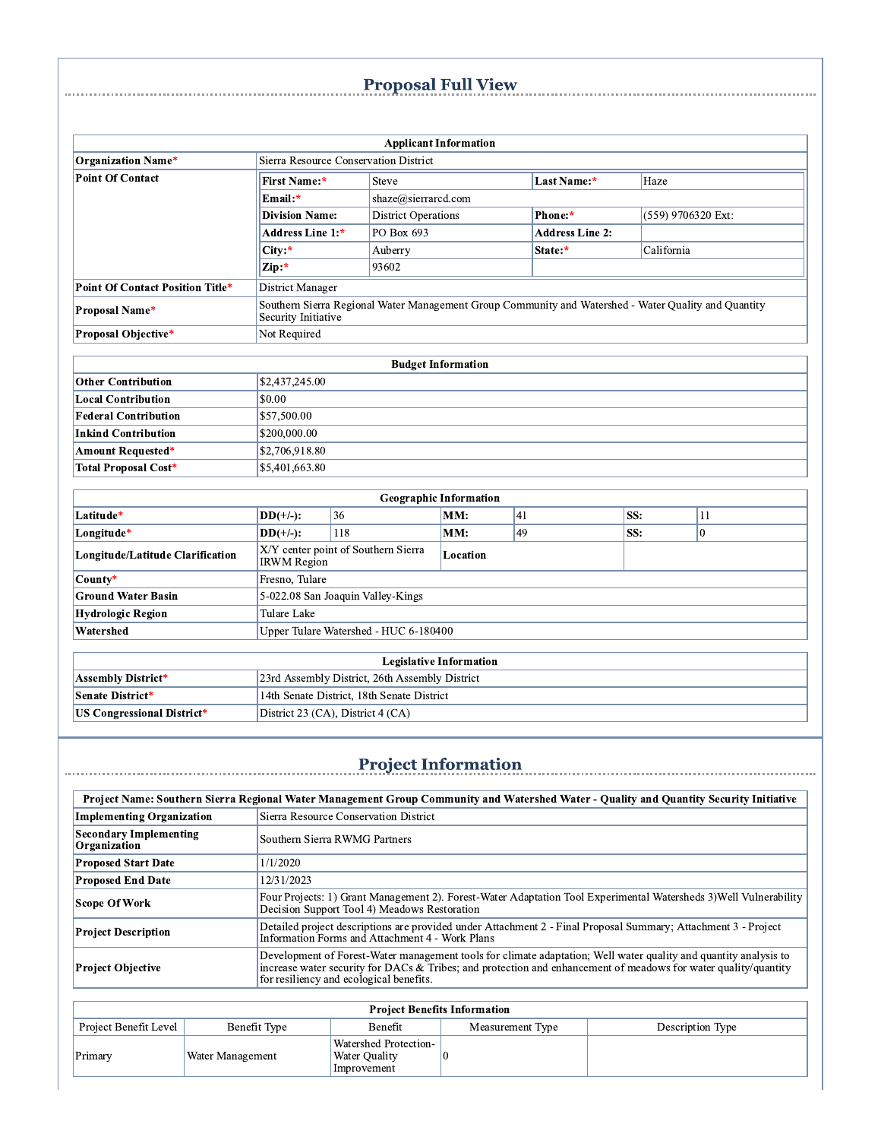# <u>Proposal Full View Proposal Full Share Accommunications of the Barnes Broposal Full View Accommunications and the Barnes of the Barnes of the Barnes of the Barnes of the Barnes of the Barnes of the Barnes of the Barnes of</u>

|                                                        |                                                                                                                             |                      |                                       | <b>Applicant Information</b>  |         |                        |            |          |  |
|--------------------------------------------------------|-----------------------------------------------------------------------------------------------------------------------------|----------------------|---------------------------------------|-------------------------------|---------|------------------------|------------|----------|--|
| <b>Organization Name*</b>                              | Sierra Resource Conservation District                                                                                       |                      |                                       |                               |         |                        |            |          |  |
| <b>Point Of Contact</b>                                | First Name:*                                                                                                                | Steve<br>Last Name:* |                                       |                               |         |                        | Haze       |          |  |
|                                                        | Email:*                                                                                                                     | shaze@sierrarcd.com  |                                       |                               |         |                        |            |          |  |
|                                                        | <b>Division Name:</b>                                                                                                       |                      | <b>District Operations</b><br>Phone:* |                               |         | (559) 9706320 Ext:     |            |          |  |
|                                                        | Address Line 1:*                                                                                                            | PO Box 693           |                                       |                               |         | <b>Address Line 2:</b> |            |          |  |
|                                                        | City:*                                                                                                                      | Auberry              |                                       |                               | State:* |                        | California |          |  |
|                                                        | Zip:*                                                                                                                       | 93602                |                                       |                               |         |                        |            |          |  |
| <b>Point Of Contact Position Title*</b>                | <b>District Manager</b>                                                                                                     |                      |                                       |                               |         |                        |            |          |  |
| <b>Proposal Name*</b>                                  | Southern Sierra Regional Water Management Group Community and Watershed - Water Quality and Quantity<br>Security Initiative |                      |                                       |                               |         |                        |            |          |  |
| Proposal Objective*                                    | Not Required                                                                                                                |                      |                                       |                               |         |                        |            |          |  |
|                                                        |                                                                                                                             |                      |                                       |                               |         |                        |            |          |  |
| <b>Budget Information</b><br><b>Other Contribution</b> |                                                                                                                             |                      |                                       |                               |         |                        |            |          |  |
| <b>Local Contribution</b>                              |                                                                                                                             | \$2,437,245.00       |                                       |                               |         |                        |            |          |  |
| <b>Federal Contribution</b>                            |                                                                                                                             | \$0.00               |                                       |                               |         |                        |            |          |  |
| <b>Inkind Contribution</b>                             | \$200,000.00                                                                                                                | \$57,500.00          |                                       |                               |         |                        |            |          |  |
| <b>Amount Requested*</b>                               | \$2,706,918.80                                                                                                              |                      |                                       |                               |         |                        |            |          |  |
| <b>Total Proposal Cost*</b>                            | \$5,401,663.80                                                                                                              |                      |                                       |                               |         |                        |            |          |  |
|                                                        |                                                                                                                             |                      |                                       |                               |         |                        |            |          |  |
|                                                        |                                                                                                                             |                      |                                       | <b>Geographic Information</b> |         |                        |            |          |  |
| Latitude*                                              | $DD(+/-):$                                                                                                                  | 36                   |                                       | MM:                           | 41      | SS:                    |            | 11       |  |
| Longitude*                                             | $DD(+/-):$                                                                                                                  | 118                  |                                       | MM:                           | 49      | SS:                    |            | $\theta$ |  |
| Longitude/Latitude Clarification                       | X/Y center point of Southern Sierra<br><b>IRWM</b> Region                                                                   |                      |                                       | Location                      |         |                        |            |          |  |
| County*                                                | Fresno, Tulare                                                                                                              |                      |                                       |                               |         |                        |            |          |  |
| <b>Ground Water Basin</b>                              | 5-022.08 San Joaquin Valley-Kings                                                                                           |                      |                                       |                               |         |                        |            |          |  |
| <b>Hydrologic Region</b>                               | <b>Tulare Lake</b>                                                                                                          |                      |                                       |                               |         |                        |            |          |  |
| Watershed                                              | Upper Tulare Watershed - HUC 6-180400                                                                                       |                      |                                       |                               |         |                        |            |          |  |
|                                                        |                                                                                                                             |                      |                                       |                               |         |                        |            |          |  |
| <b>Assembly District*</b>                              | <b>Legislative Information</b><br>23rd Assembly District, 26th Assembly District                                            |                      |                                       |                               |         |                        |            |          |  |
| Senate District*                                       | 14th Senate District, 18th Senate District                                                                                  |                      |                                       |                               |         |                        |            |          |  |
| <b>US Congressional District*</b>                      | District 23 (CA), District 4 (CA)                                                                                           |                      |                                       |                               |         |                        |            |          |  |

# **Project Information**

.<br>Daoin

| Project Name: Southern Sierra Regional Water Management Group Community and Watershed Water - Quality and Quantity Security Initiative |                                                                                                                                                                                                                                                                                |  |  |  |
|----------------------------------------------------------------------------------------------------------------------------------------|--------------------------------------------------------------------------------------------------------------------------------------------------------------------------------------------------------------------------------------------------------------------------------|--|--|--|
| <b>Implementing Organization</b>                                                                                                       | Sierra Resource Conservation District                                                                                                                                                                                                                                          |  |  |  |
| <b>Secondary Implementing</b><br>Organization                                                                                          | Southern Sierra RWMG Partners                                                                                                                                                                                                                                                  |  |  |  |
| <b>Proposed Start Date</b>                                                                                                             | 1/1/2020                                                                                                                                                                                                                                                                       |  |  |  |
| <b>Proposed End Date</b>                                                                                                               | 12/31/2023                                                                                                                                                                                                                                                                     |  |  |  |
| <b>Scope Of Work</b>                                                                                                                   | Four Projects: 1) Grant Management 2). Forest-Water Adaptation Tool Experimental Watersheds 3) Well Vulnerability<br>Decision Support Tool 4) Meadows Restoration                                                                                                              |  |  |  |
| <b>Project Description</b>                                                                                                             | Detailed project descriptions are provided under Attachment 2 - Final Proposal Summary; Attachment 3 - Project<br>Information Forms and Attachment 4 - Work Plans                                                                                                              |  |  |  |
| <b>Project Objective</b>                                                                                                               | Development of Forest-Water management tools for climate adaptation; Well water quality and quantity analysis to<br>increase water security for DACs & Tribes; and protection and enhancement of meadows for water quality/quantity<br>for resiliency and ecological benefits. |  |  |  |

| <b>Project Benefits Information</b> |                  |                                                              |                  |                  |  |  |
|-------------------------------------|------------------|--------------------------------------------------------------|------------------|------------------|--|--|
| Project Benefit Level               | Benefit Type     | Benefit                                                      | Measurement Type | Description Type |  |  |
| Primary                             | Water Management | <b>Watershed Protection-</b><br>Water Quality<br>Improvement |                  |                  |  |  |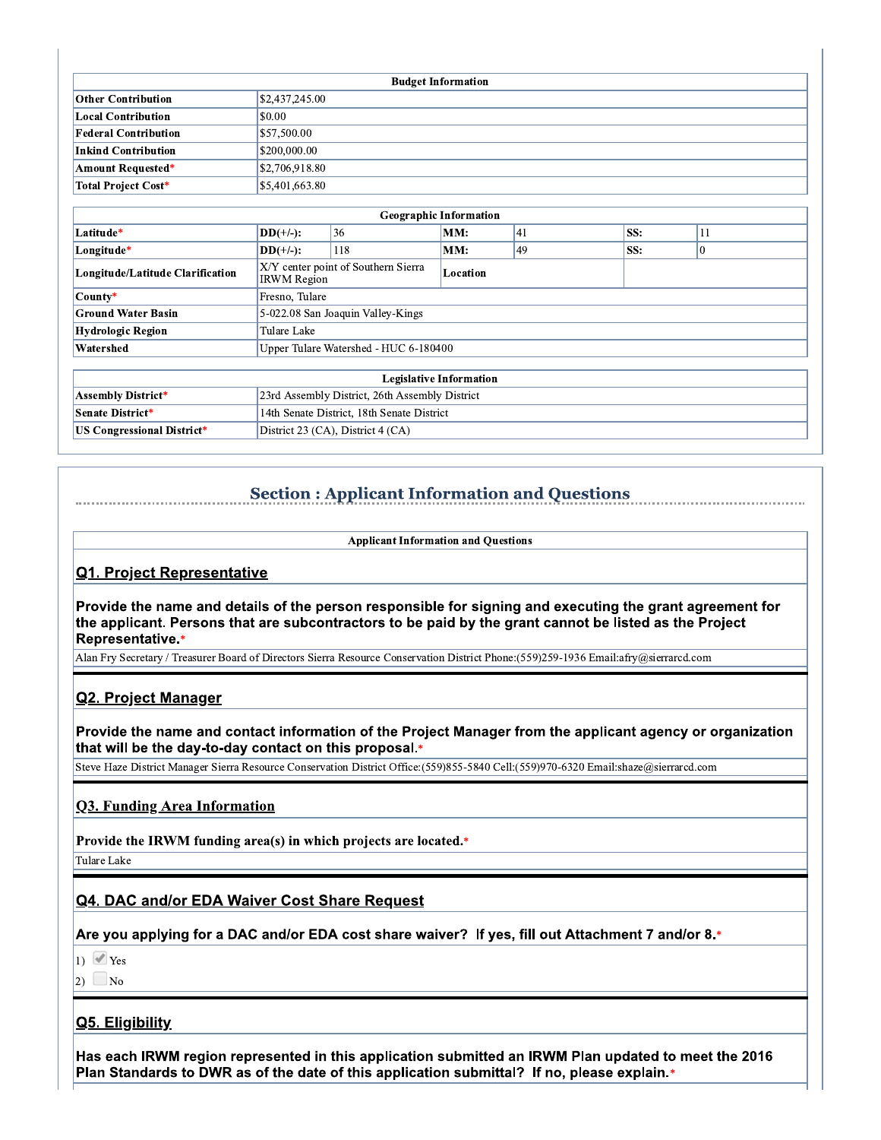| <b>Budget Information</b>   |                              |  |  |  |  |
|-----------------------------|------------------------------|--|--|--|--|
| <b>Other Contribution</b>   | $\frac{1}{2}$ \$2,437,245.00 |  |  |  |  |
| <b>Local Contribution</b>   | $\vert$ \$0.00               |  |  |  |  |
| <b>Federal Contribution</b> | 857.500.00                   |  |  |  |  |
| <b>Inkind Contribution</b>  | \$200,000.00                 |  |  |  |  |
| <b>Amount Requested*</b>    | \$2,706,918.80               |  |  |  |  |
| Total Project Cost*         | \$5,401,663.80               |  |  |  |  |

|                                   |                                                           |                | <b>Geographic Information</b>  |    |     |    |  |
|-----------------------------------|-----------------------------------------------------------|----------------|--------------------------------|----|-----|----|--|
| Latitude*                         | $\ _{i}$ DD(+/-):                                         | 36             | MM:                            | 41 | SS: | 11 |  |
| Longitude*                        | $DD(+/-):$                                                | 118            | MM:                            | 49 | SS: | 0  |  |
| Longitude/Latitude Clarification  | X/Y center point of Southern Sierra<br><b>IRWM</b> Region |                | Location                       |    |     |    |  |
| County*                           |                                                           | Fresno, Tulare |                                |    |     |    |  |
| <b>Ground Water Basin</b>         | 5-022.08 San Joaquin Valley-Kings                         |                |                                |    |     |    |  |
| <b>Hydrologic Region</b>          | Tulare Lake                                               |                |                                |    |     |    |  |
| Watershed                         | Upper Tulare Watershed - HUC 6-180400                     |                |                                |    |     |    |  |
|                                   |                                                           |                |                                |    |     |    |  |
|                                   |                                                           |                | <b>Legislative Information</b> |    |     |    |  |
| <b>Assembly District*</b>         | 23rd Assembly District, 26th Assembly District            |                |                                |    |     |    |  |
| <b>Senate District*</b>           | 14th Senate District, 18th Senate District                |                |                                |    |     |    |  |
| <b>US Congressional District*</b> | District 23 (CA), District 4 (CA)                         |                |                                |    |     |    |  |

# **Section: Applicant Information and Questions**

**Applicant Information and Questions** 

#### <u>Q1. Project Representative</u>

Provide the name and details of the person responsible for signing and executing the grant agreement for the applicant. Persons that are subcontractors to be paid by the grant cannot be listed as the Project **Representative.\*** 

Alan Fry Secretary / Treasurer Board of Directors Sierra Resource Conservation District Phone:(559)259-1936 Email:afry@sierrarcd.com

#### Q2. Project Manager

Provide the name and contact information of the Project Manager from the applicant agency or organization that will be the day-to-day contact on this proposal.\*

Steve Haze District Manager Sierra Resource Conservation District Office:(559)855-5840 Cell:(559)970-6320 Email:shaze@sierrarcd.com

#### **Q3. Funding Area Information**

Provide the IRWM funding area(s) in which projects are located.\*

Tulare Lake

#### Q4. DAC and/or EDA Waiver Cost Share Request

\*.Are you applying for a DAC and/or EDA cost share waiver? If yes, fill out Attachment 7 and/or 8

 $1)$   $\blacksquare$  Yes

2)  $\Box_{\text{No}}$ 

#### Q5. Eligibility

Has each IRWM region represented in this application submitted an IRWM Plan updated to meet the 2016 Plan Standards to DWR as of the date of this application submittal? If no, please explain.\*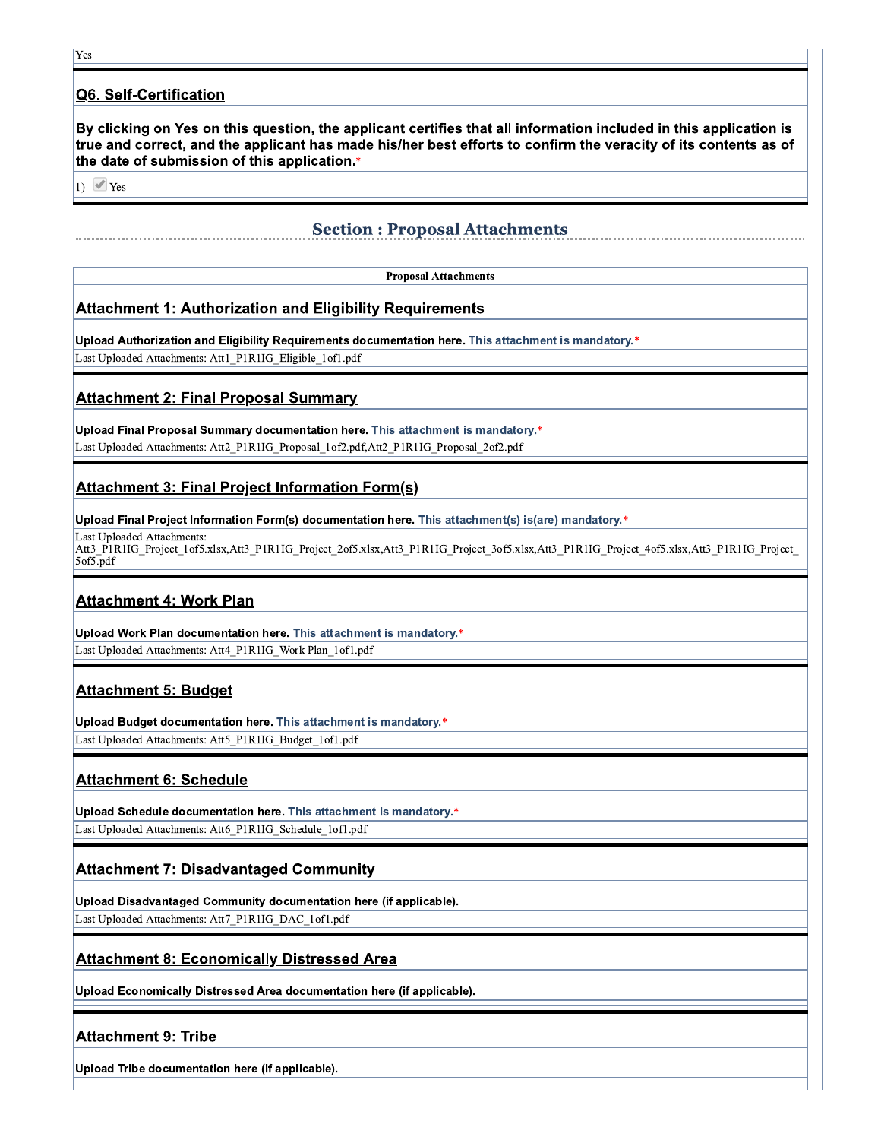#### Q6. Self-Certification

By clicking on Yes on this question, the applicant certifies that all information included in this application is true and correct, and the applicant has made his/her best efforts to confirm the veracity of its contents as of the date of submission of this application.\*

1)  $\blacktriangleright$  Yes

## **Section: Proposal Attachments**

**Proposal Attachments** 

#### **Attachment 1: Authorization and Eligibility Requirements**

"Upload Authorization and Eligibility Requirements documentation here. This attachment is mandatory

Last Uploaded Attachments: Att1 P1R1IG Eligible 1of1.pdf

#### <u> Attachment 2: Final Proposal Summary</u>

Upload Final Proposal Summary documentation here. This attachment is mandatory.\*

Last Uploaded Attachments: Att2\_P1R1IG\_Proposal\_1of2.pdf,Att2\_P1R1IG\_Proposal\_2of2.pdf

#### <u> Attachment 3: Final Project Information Form(s)</u>

"Upload Final Project Information Form(s) documentation here. This attachment(s) is(are) mandatory.

Last Unloaded Attachments: Att3 P1R1IG Project 1of5.xlsx,Att3 P1R1IG Project 2of5.xlsx,Att3 P1R1IG Project 3of5.xlsx,Att3 P1R1IG Project 4of5.xlsx,Att3 P1R1IG Project  $5$ of $5$ .pdf

#### **Attachment 4: Work Plan**

Upload Work Plan documentation here. This attachment is mandatory.\* Last Uploaded Attachments: Att4\_P1R1IG\_Work Plan\_1of1.pdf

#### <u> Attachment 5: Budget</u>

Upload Budget documentation here. This attachment is mandatory.\* Last Uploaded Attachments: Att5\_P1R1IG\_Budget\_1of1.pdf

## <u> Attachment 6: Schedule</u>

Upload Schedule documentation here. This attachment is mandatory.\* Last Uploaded Attachments: Att6\_P1R1IG\_Schedule\_1of1.pdf

#### **Attachment 7: Disadvantaged Community**

Upload Disadvantaged Community documentation here (if applicable).

Last Uploaded Attachments: Att7\_P1R1IG\_DAC\_1of1.pdf

## <u> Attachment 8: Economically Distressed Area</u>

Upload Economically Distressed Area documentation here (if applicable).

## **Attachment 9: Tribe**

Upload Tribe documentation here (if applicable).